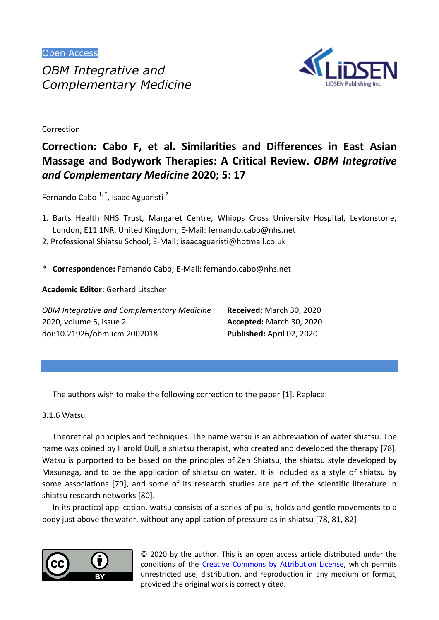

Correction

# **Correction: Cabo F, et al. Similarities and Differences in East Asian Massage and Bodywork Therapies: A Critical Review.** *OBM Integrative and Complementary Medicine* **2020; 5: 17**

Fernando Cabo  $1, 1$ , Isaac Aguaristi<sup>2</sup>

- 1. Barts Health NHS Trust, Margaret Centre, Whipps Cross University Hospital, Leytonstone, London, E11 1NR, United Kingdom; E-Mail: fernando.cabo@nhs.net
- 2. Professional Shiatsu School; E-Mail: isaacaguaristi@hotmail.co.uk
- \* **Correspondence:** Fernando Cabo; E-Mail: fernando.cabo@nhs.net

**Academic Editor:** Gerhard Litscher

| <b>OBM Integrative and Complementary Medicine</b> | <b>Received: March 30, 2020</b> |
|---------------------------------------------------|---------------------------------|
| 2020, volume 5, issue 2                           | Accepted: March 30, 2020        |
| doi:10.21926/obm.icm.2002018                      | Published: April 02, 2020       |

The authors wish to make the following correction to the paper [1]. Replace:

## 3.1.6 Watsu

Theoretical principles and techniques. The name watsu is an abbreviation of water shiatsu. The name was coined by Harold Dull, a shiatsu therapist, who created and developed the therapy [78]. Watsu is purported to be based on the principles of Zen Shiatsu, the shiatsu style developed by Masunaga, and to be the application of shiatsu on water. It is included as a style of shiatsu by some associations [79], and some of its research studies are part of the scientific literature in shiatsu research networks [80].

In its practical application, watsu consists of a series of pulls, holds and gentle movements to a body just above the water, without any application of pressure as in shiatsu [78, 81, 82]



© 2020 by the author. This is an open access article distributed under the conditions of the Creative Commons by Attribution License, which permits unrestricted use, distribution, and reproduction in any medium or format, provided the original work is correctly cited.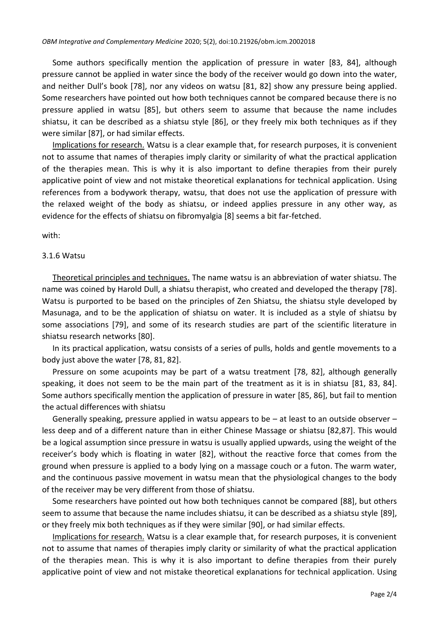Some authors specifically mention the application of pressure in water [83, 84], although pressure cannot be applied in water since the body of the receiver would go down into the water, and neither Dull's book [78], nor any videos on watsu [81, 82] show any pressure being applied. Some researchers have pointed out how both techniques cannot be compared because there is no pressure applied in watsu [85], but others seem to assume that because the name includes shiatsu, it can be described as a shiatsu style [86], or they freely mix both techniques as if they were similar [87], or had similar effects.

Implications for research. Watsu is a clear example that, for research purposes, it is convenient not to assume that names of therapies imply clarity or similarity of what the practical application of the therapies mean. This is why it is also important to define therapies from their purely applicative point of view and not mistake theoretical explanations for technical application. Using references from a bodywork therapy, watsu, that does not use the application of pressure with the relaxed weight of the body as shiatsu, or indeed applies pressure in any other way, as evidence for the effects of shiatsu on fibromyalgia [8] seems a bit far-fetched.

with:

#### 3.1.6 Watsu

Theoretical principles and techniques. The name watsu is an abbreviation of water shiatsu. The name was coined by Harold Dull, a shiatsu therapist, who created and developed the therapy [78]. Watsu is purported to be based on the principles of Zen Shiatsu, the shiatsu style developed by Masunaga, and to be the application of shiatsu on water. It is included as a style of shiatsu by some associations [79], and some of its research studies are part of the scientific literature in shiatsu research networks [80].

In its practical application, watsu consists of a series of pulls, holds and gentle movements to a body just above the water [78, 81, 82].

Pressure on some acupoints may be part of a watsu treatment [78, 82], although generally speaking, it does not seem to be the main part of the treatment as it is in shiatsu [81, 83, 84]. Some authors specifically mention the application of pressure in water [85, 86], but fail to mention the actual differences with shiatsu

Generally speaking, pressure applied in watsu appears to be – at least to an outside observer – less deep and of a different nature than in either Chinese Massage or shiatsu [82,87]. This would be a logical assumption since pressure in watsu is usually applied upwards, using the weight of the receiver's body which is floating in water [82], without the reactive force that comes from the ground when pressure is applied to a body lying on a massage couch or a futon. The warm water, and the continuous passive movement in watsu mean that the physiological changes to the body of the receiver may be very different from those of shiatsu.

Some researchers have pointed out how both techniques cannot be compared [88], but others seem to assume that because the name includes shiatsu, it can be described as a shiatsu style [89], or they freely mix both techniques as if they were similar [90], or had similar effects.

Implications for research. Watsu is a clear example that, for research purposes, it is convenient not to assume that names of therapies imply clarity or similarity of what the practical application of the therapies mean. This is why it is also important to define therapies from their purely applicative point of view and not mistake theoretical explanations for technical application. Using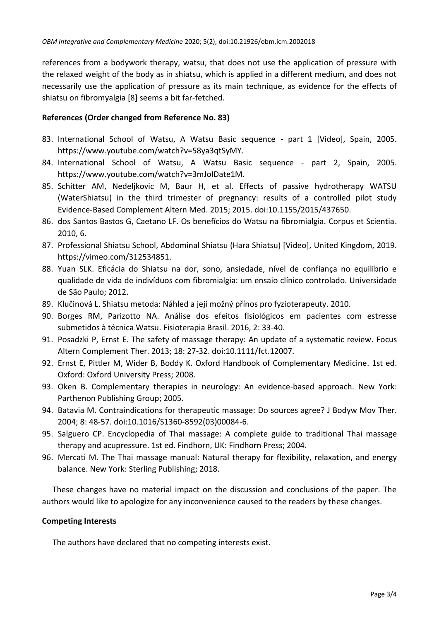references from a bodywork therapy, watsu, that does not use the application of pressure with the relaxed weight of the body as in shiatsu, which is applied in a different medium, and does not necessarily use the application of pressure as its main technique, as evidence for the effects of shiatsu on fibromyalgia [8] seems a bit far-fetched.

## **References (Order changed from Reference No. 83)**

- 83. International School of Watsu, A Watsu Basic sequence part 1 [Video], Spain, 2005. https://www.youtube.com/watch?v=58ya3qtSyMY.
- 84. International School of Watsu, A Watsu Basic sequence part 2, Spain, 2005. https://www.youtube.com/watch?v=3mJoIDate1M.
- 85. Schitter AM, Nedeljkovic M, Baur H, et al. Effects of passive hydrotherapy WATSU (WaterShiatsu) in the third trimester of pregnancy: results of a controlled pilot study Evidence-Based Complement Altern Med. 2015; 2015. doi:10.1155/2015/437650.
- 86. dos Santos Bastos G, Caetano LF. Os benefícios do Watsu na fibromialgia. Corpus et Scientia. 2010, 6.
- 87. Professional Shiatsu School, Abdominal Shiatsu (Hara Shiatsu) [Video], United Kingdom, 2019. https://vimeo.com/312534851.
- 88. Yuan SLK. Eficácia do Shiatsu na dor, sono, ansiedade, nível de confiança no equilibrio e qualidade de vida de indivíduos com fibromialgia: um ensaio clínico controlado. Universidade de São Paulo; 2012.
- 89. Klučinová L. Shiatsu metoda: Náhled a její možný přínos pro fyzioterapeuty. 2010.
- 90. Borges RM, Parizotto NA. Análise dos efeitos fisiológicos em pacientes com estresse submetidos à técnica Watsu. Fisioterapia Brasil. 2016, 2: 33-40.
- 91. Posadzki P, Ernst E. The safety of massage therapy: An update of a systematic review. Focus Altern Complement Ther. 2013; 18: 27-32. doi:10.1111/fct.12007.
- 92. Ernst E, Pittler M, Wider B, Boddy K. Oxford Handbook of Complementary Medicine. 1st ed. Oxford: Oxford University Press; 2008.
- 93. Oken B. Complementary therapies in neurology: An evidence-based approach. New York: Parthenon Publishing Group; 2005.
- 94. Batavia M. Contraindications for therapeutic massage: Do sources agree? J Bodyw Mov Ther. 2004; 8: 48-57. doi:10.1016/S1360-8592(03)00084-6.
- 95. Salguero CP. Encyclopedia of Thai massage: A complete guide to traditional Thai massage therapy and acupressure. 1st ed. Findhorn, UK: Findhorn Press; 2004.
- 96. Mercati M. The Thai massage manual: Natural therapy for flexibility, relaxation, and energy balance. New York: Sterling Publishing; 2018.

These changes have no material impact on the discussion and conclusions of the paper. The authors would like to apologize for any inconvenience caused to the readers by these changes.

## **Competing Interests**

The authors have declared that no competing interests exist.